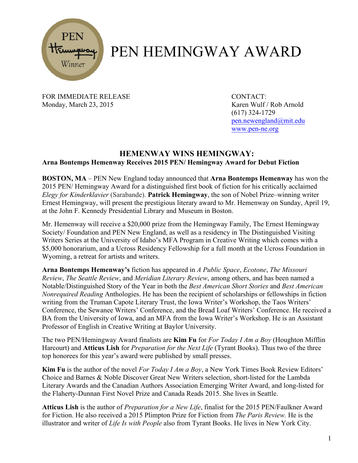

## PEN HEMINGWAY AWARD

FOR IMMEDIATE RELEASE CONTACT: Monday, March 23, 2015 Karen Wulf / Rob Arnold

(617) 324-1729 pen.newengland@mit.edu www.pen-ne.org

## **HEMENWAY WINS HEMINGWAY: Arna Bontemps Hemenway Receives 2015 PEN/ Hemingway Award for Debut Fiction**

**BOSTON, MA** – PEN New England today announced that **Arna Bontemps Hemenway** has won the 2015 PEN/ Hemingway Award for a distinguished first book of fiction for his critically acclaimed *Elegy for Kinderklavier* (Sarabande). **Patrick Hemingway**, the son of Nobel Prize–winning writer Ernest Hemingway, will present the prestigious literary award to Mr. Hemenway on Sunday, April 19, at the John F. Kennedy Presidential Library and Museum in Boston.

Mr. Hemenway will receive a \$20,000 prize from the Hemingway Family, The Ernest Hemingway Society/ Foundation and PEN New England, as well as a residency in The Distinguished Visiting Writers Series at the University of Idaho's MFA Program in Creative Writing which comes with a \$5,000 honorarium, and a Ucross Residency Fellowship for a full month at the Ucross Foundation in Wyoming, a retreat for artists and writers.

**Arna Bontemps Hemenway's** fiction has appeared in *A Public Space*, *Ecotone*, *The Missouri Review*, *The Seattle Review*, and *Meridian Literary Review*, among others, and has been named a Notable/Distinguished Story of the Year in both the *Best American Short Stories* and *Best American Nonrequired Reading* Anthologies. He has been the recipient of scholarships or fellowships in fiction writing from the Truman Capote Literary Trust, the Iowa Writer's Workshop, the Taos Writers' Conference, the Sewanee Writers' Conference, and the Bread Loaf Writers' Conference. He received a BA from the University of Iowa, and an MFA from the Iowa Writer's Workshop. He is an Assistant Professor of English in Creative Writing at Baylor University.

The two PEN/Hemingway Award finalists are **Kim Fu** for *For Today I Am a Boy* (Houghton Mifflin Harcourt) and **Atticus Lish** for *Preparation for the Next Life* (Tyrant Books). Thus two of the three top honorees for this year's award were published by small presses.

**Kim Fu** is the author of the novel *For Today I Am a Boy*, a New York Times Book Review Editors' Choice and Barnes & Noble Discover Great New Writers selection, short-listed for the Lambda Literary Awards and the Canadian Authors Association Emerging Writer Award, and long-listed for the Flaherty-Dunnan First Novel Prize and Canada Reads 2015. She lives in Seattle.

**Atticus Lish** is the author of *Preparation for a New Life*, finalist for the 2015 PEN/Faulkner Award for Fiction. He also received a 2015 Plimpton Prize for Fiction from *The Paris Review.* He is the illustrator and writer of *Life Is with People* also from Tyrant Books. He lives in New York City.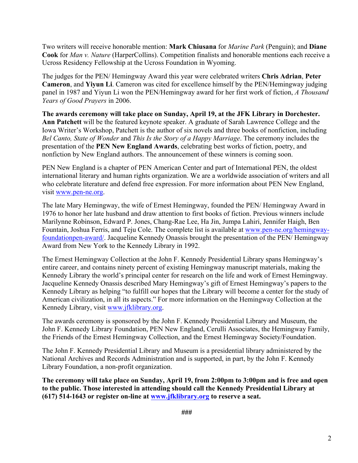Two writers will receive honorable mention: **Mark Chiusana** for *Marine Park* (Penguin); and **Diane Cook** for *Man v. Nature* (HarperCollins). Competition finalists and honorable mentions each receive a Ucross Residency Fellowship at the Ucross Foundation in Wyoming.

The judges for the PEN/ Hemingway Award this year were celebrated writers **Chris Adrian**, **Peter Cameron**, and **Yiyun Li**. Cameron was cited for excellence himself by the PEN/Hemingway judging panel in 1987 and Yiyun Li won the PEN/Hemingway award for her first work of fiction, *A Thousand Years of Good Prayers* in 2006.

**The awards ceremony will take place on Sunday, April 19, at the JFK Library in Dorchester. Ann Patchett** will be the featured keynote speaker. A graduate of Sarah Lawrence College and the Iowa Writer's Workshop, Patchett is the author of six novels and three books of nonfiction, including *Bel Canto, State of Wonder* and *This Is the Story of a Happy Marriage*. The ceremony includes the presentation of the **PEN New England Awards**, celebrating best works of fiction, poetry, and nonfiction by New England authors. The announcement of these winners is coming soon.

PEN New England is a chapter of PEN American Center and part of International PEN, the oldest international literary and human rights organization. We are a worldwide association of writers and all who celebrate literature and defend free expression. For more information about PEN New England, visit www.pen-ne.org.

The late Mary Hemingway, the wife of Ernest Hemingway, founded the PEN/ Hemingway Award in 1976 to honor her late husband and draw attention to first books of fiction. Previous winners include Marilynne Robinson, Edward P. Jones, Chang-Rae Lee, Ha Jin, Jumpa Lahiri, Jennifer Haigh, Ben Fountain, Joshua Ferris, and Teju Cole. The complete list is available at www.pen-ne.org/hemingwayfoundationpen-award/. Jacqueline Kennedy Onassis brought the presentation of the PEN/ Hemingway Award from New York to the Kennedy Library in 1992.

The Ernest Hemingway Collection at the John F. Kennedy Presidential Library spans Hemingway's entire career, and contains ninety percent of existing Hemingway manuscript materials, making the Kennedy Library the world's principal center for research on the life and work of Ernest Hemingway. Jacqueline Kennedy Onassis described Mary Hemingway's gift of Ernest Hemingway's papers to the Kennedy Library as helping "to fulfill our hopes that the Library will become a center for the study of American civilization, in all its aspects." For more information on the Hemingway Collection at the Kennedy Library, visit www.jfklibrary.org.

The awards ceremony is sponsored by the John F. Kennedy Presidential Library and Museum, the John F. Kennedy Library Foundation, PEN New England, Cerulli Associates, the Hemingway Family, the Friends of the Ernest Hemingway Collection, and the Ernest Hemingway Society/Foundation.

The John F. Kennedy Presidential Library and Museum is a presidential library administered by the National Archives and Records Administration and is supported, in part, by the John F. Kennedy Library Foundation, a non-profit organization.

**The ceremony will take place on Sunday, April 19, from 2:00pm to 3:00pm and is free and open to the public. Those interested in attending should call the Kennedy Presidential Library at (617) 514-1643 or register on-line at www.jfklibrary.org to reserve a seat.**